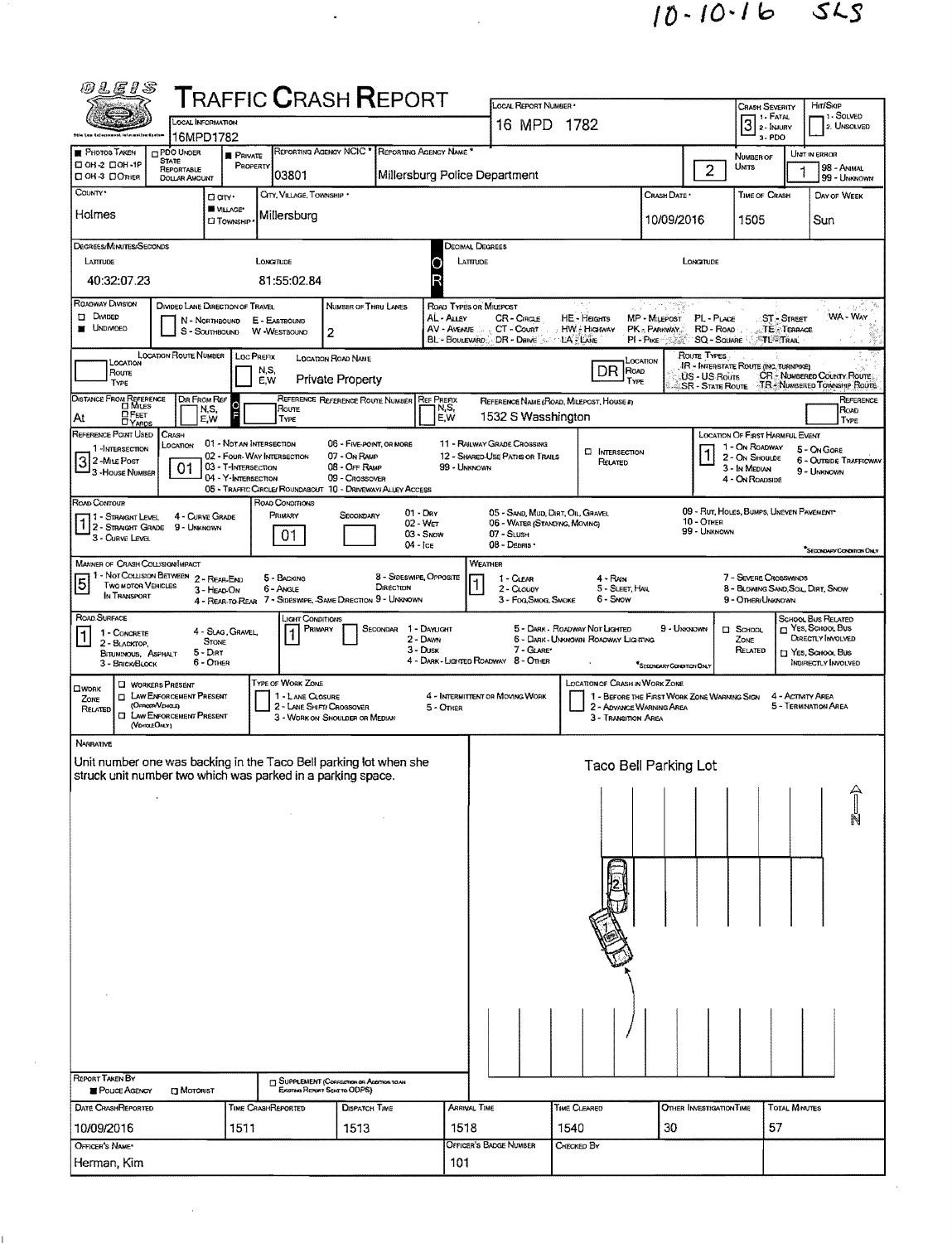$10 - 10 - 16$  SLS

| <i>1</i> 01.EIS                                                                                                                  |                                                            |                                                   |                                              | <b>TRAFFIC CRASH REPORT</b>                                                   |                                      |                                  |                                                                    |                                          |                                                                         |                                                      |                                                             |                              |                                                             |
|----------------------------------------------------------------------------------------------------------------------------------|------------------------------------------------------------|---------------------------------------------------|----------------------------------------------|-------------------------------------------------------------------------------|--------------------------------------|----------------------------------|--------------------------------------------------------------------|------------------------------------------|-------------------------------------------------------------------------|------------------------------------------------------|-------------------------------------------------------------|------------------------------|-------------------------------------------------------------|
|                                                                                                                                  | <b>LOCAL INFORMATION</b>                                   |                                                   |                                              |                                                                               |                                      |                                  | LOCAL REPORT NUMBER *                                              |                                          |                                                                         |                                                      | <b>CRASH SEVERITY</b>                                       |                              | Hrt/SkiP<br>1 - SOLVED                                      |
|                                                                                                                                  | 16MPD1782                                                  |                                                   |                                              |                                                                               |                                      |                                  | 16 MPD 1782                                                        |                                          |                                                                         |                                                      | $31$ FATAL<br>$21$ FMURY<br>3-PDO                           |                              | 2. UNSOLVED                                                 |
| <b>PHOTOS TAKEN</b>                                                                                                              | PDO UNDER<br><b>STATE</b>                                  | <b>PRIVATE</b>                                    |                                              | REPORTING AGENCY NCIC * REPORTING AGENCY NAME                                 |                                      |                                  |                                                                    |                                          |                                                                         |                                                      | NUMBER OF                                                   |                              | UNIT IN ERROR                                               |
| □ ОН-2 □ ОН-1Р<br>□ 0Н-3 □ Опкев                                                                                                 | <b>REPORTABLE</b><br><b>DOLLAR AMOUNT</b>                  | PROPERTY                                          | 03801                                        |                                                                               |                                      |                                  | Millersburg Police Department                                      |                                          |                                                                         | $\overline{c}$                                       | Units                                                       |                              | 98 - Animal<br>99 - UNKNOWN                                 |
| County*                                                                                                                          | O any·                                                     |                                                   | CITY, VILLAGE, TOWNSHIP *                    |                                                                               |                                      |                                  |                                                                    |                                          | Crash Date *                                                            |                                                      | <b>TIME OF CRASH</b>                                        |                              | DAY OF WEEK                                                 |
| Holmes                                                                                                                           |                                                            | WILLAGE*<br><b>CI TOWNSHIP</b>                    | Millersburg                                  |                                                                               |                                      |                                  |                                                                    |                                          | 10/09/2016                                                              |                                                      | 1505                                                        |                              | Sun                                                         |
|                                                                                                                                  |                                                            |                                                   |                                              |                                                                               |                                      |                                  |                                                                    |                                          |                                                                         |                                                      |                                                             |                              |                                                             |
| Degrees/Minutes/Seconds<br>LATTUDE                                                                                               |                                                            | LONGITUDE                                         |                                              |                                                                               |                                      | Decimal Degrees<br>LATTTUDE<br>О |                                                                    |                                          |                                                                         | LONGITUDE                                            |                                                             |                              |                                                             |
| 40:32:07.23                                                                                                                      |                                                            |                                                   | 81:55:02.84                                  |                                                                               |                                      | R                                |                                                                    |                                          |                                                                         |                                                      |                                                             |                              |                                                             |
| ROADWAY DIVISION                                                                                                                 | DIVIDED LANE DIRECTION OF TRAVEL                           |                                                   |                                              | NUMBER OF THRU LANES                                                          |                                      | ROAD TYPES OR MILEPOST           |                                                                    |                                          |                                                                         |                                                      |                                                             |                              |                                                             |
| ∐ Dмоєо                                                                                                                          | N - Northbound                                             | E - EASTBOUND                                     |                                              |                                                                               |                                      | AL - Auev                        | CR-Cricle                                                          | HE - Heights                             | MP - MILEPOST                                                           | PL-PLACE                                             |                                                             | <b>ST-STREET</b>             | WA - Way                                                    |
| <b>UNDIVIDED</b>                                                                                                                 | S - SOUTHBOUND                                             | W -WESTBOUND                                      |                                              | 2                                                                             |                                      | AV - AVENUE<br>BL - BOULEVARD    | CT - Count<br>DR - Dane                                            | <b>HW - Higsway</b><br>LA - LANE         | PK - PARKWAY.<br>$PI - P_{IKE}$                                         | RD - ROAD<br>SQ - SQUARE                             |                                                             | TE TERRACE<br><b>TL-TRAI</b> |                                                             |
| LOCATION                                                                                                                         | <b>LOCATION ROUTE NUMBER</b>                               | LOC PREFIX                                        |                                              | LOCATION ROAD NAME                                                            |                                      |                                  |                                                                    |                                          | LOCATION                                                                | ROUTE TYPES<br>IR - INTERSTATE ROUTE (INC. TURNPIKE) |                                                             |                              |                                                             |
| Roune<br>TYPE                                                                                                                    |                                                            | N,S,<br>E.W                                       |                                              | <b>Private Property</b>                                                       |                                      |                                  |                                                                    | $DR$ ROAD                                | TYPE                                                                    | US - US Routs<br><b>SR - STATE ROUTE</b>             |                                                             |                              | CR - NUMBERED COUNTY ROUTE:<br>TR - NUMBERED TOWNSHIP ROUTE |
| <b>DISTANCE FROM REFERENCE</b><br><b>⊡</b> Mrues                                                                                 | DIR FROM REF                                               | O                                                 | Route                                        | REFERENCE REFERENCE ROUTE NUMBER                                              |                                      | <b>REF PREFIX</b><br>N,S,        |                                                                    | REFERENCE NAME (ROAD, MILEPOST, HOUSE #) |                                                                         |                                                      |                                                             |                              | REFERENCE                                                   |
| $D$ F $\epsilon$ ET<br>At<br><b>CYARDS</b>                                                                                       | N,S,<br>E,W                                                |                                                   | TYPE                                         |                                                                               |                                      | E,W                              | 1532 S Wasshington                                                 |                                          |                                                                         |                                                      |                                                             |                              | ROAD<br>TYPE                                                |
| REFERENCE POINT USED<br>1-INTERSECTION                                                                                           | CRASH<br>Location                                          | 01 - NOTAN INTERSECTION                           |                                              | 06 - FIVE-POINT, OR MORE                                                      |                                      |                                  | 11 - RAILWAY GRADE CROSSING                                        |                                          |                                                                         |                                                      | <b>LOCATION OF FIRST HARMFUL EVENT</b><br>1 - On ROADWAY    |                              | 5 - On Gore                                                 |
| 3 2 - Mile Post<br>3 - House Number                                                                                              | 01                                                         | 02 - Four-WAY INTERSECTION<br>03 - T-INTERSECTION |                                              | 07 - On RAMP<br>08 - OFF RAMP                                                 |                                      | 99 - UNKNOWN                     | 12 - SHARED-USE PATHS OR TRAILS                                    | <b>C INTERSECTION</b><br>RELATED         |                                                                         |                                                      | 2 - On Shoulde<br>3 - In Median                             |                              | <b>6 - OUTSIDE TRAFFICWAY</b>                               |
|                                                                                                                                  |                                                            | 04 - Y-INTERSECTION                               |                                              | 09 - CROSSOVER<br>05 - TRAFFIC CIRCLE/ ROUNDABOUT 10 - DRIVEWAY/ ALLEY ACCESS |                                      |                                  |                                                                    |                                          |                                                                         |                                                      | 4 - On Roadside                                             |                              | 9 - UNKNOWN                                                 |
| Road Contour                                                                                                                     |                                                            |                                                   | ROAD CONDITIONS                              |                                                                               |                                      |                                  |                                                                    |                                          |                                                                         | 09 - RUT, HOLES, BUMPS, UNEVEN PAVEMENT              |                                                             |                              |                                                             |
| 1 - STRAIGHT LEVEL<br>2 - STRAIGHT GRADE                                                                                         | 4 - CURVE GRADE<br>9 - UNKNOWN                             |                                                   | PRIMARY                                      | SECONDARY                                                                     | $01 - \text{Day}$<br>02 - Wer        |                                  | 05 - SAND, MUD, DIRT, OIL, GRAVEL<br>06 - WATER (STANDING, MOVING) |                                          |                                                                         | <b>10 - OTHER</b><br>99 - UNKNOWN                    |                                                             |                              |                                                             |
| 3 - Curve Level                                                                                                                  |                                                            |                                                   | 01                                           |                                                                               | $03 -$ SNOW<br>$04 -$ ICE            |                                  | $07 -$ SLUSH<br>08 - Deans -                                       |                                          |                                                                         |                                                      |                                                             |                              | "SECONDARY CONDITION ONLY                                   |
| <b>MANNER OF CRASH COLUSION/IMPACT</b>                                                                                           |                                                            |                                                   |                                              |                                                                               |                                      |                                  | <b>WEATHER</b>                                                     |                                          |                                                                         |                                                      |                                                             |                              |                                                             |
| 5<br><b>TWO MOTOR VEHICLES</b>                                                                                                   | 1 - Not Collision Between 2 - Rear-End<br>3 - HEAD-ON      |                                                   | 5 - BACKING<br>6 - Angle                     |                                                                               | 8 - Sideswipe, Opposite<br>DIRECTION |                                  | 1 - CLEAR<br>2 - CLOUDY                                            | 4 - RAIN<br>5 - SLEET, HAIL              |                                                                         |                                                      | 7 - SEVERE CROSSWINDS<br>8 - BLOWING SAND, SOIL, DIRT, SNOW |                              |                                                             |
| IN TRANSPORT                                                                                                                     |                                                            |                                                   |                                              | 4 - REAR-TO-REAR 7 - SIDESWIPE, -SAME DIRECTION 9 - UNKNOWN                   |                                      |                                  | 3 - Fog, Smog, Smoke                                               | 6 - Snow                                 |                                                                         |                                                      | 9 - OTHER/UNKNOWN                                           |                              |                                                             |
| ROAD SURFACE<br>1 - CONCRETE                                                                                                     |                                                            | 4 - SLAG, GRAVEL,                                 | Licent Conditions<br>Primary                 |                                                                               | SECONDAR 1 - DAYLIGHT                |                                  |                                                                    | 5 - DARK - ROADWAY NOT LIGHTED           | 9 - UNKNOWN                                                             |                                                      | <b>D</b> SCHOOL                                             |                              | SCHOOL BUS RELATED<br>YES, SCHOOL BUS                       |
| 2 - BLACKTOP,<br>BITUMINOUS, ASPHALT                                                                                             | <b>STONE</b><br>$5 - DIRT$                                 |                                                   |                                              |                                                                               | 2 - DAWN<br>3 - Dusk                 |                                  | 7 - GLARE*                                                         | 6 - DARK - UNKNOWN ROADWAY LIGHTING      |                                                                         |                                                      | ZONE<br>RELATED                                             |                              | <b>DIRECTLY INVOLVED</b><br>□ Yes, Scнoor, Bus              |
| 3 - BRICK BLOCK                                                                                                                  | 6 - OTHER                                                  |                                                   |                                              |                                                                               |                                      |                                  | 4 - DARK - LIGHTED ROADWAY 8 - OTHER                               |                                          | SECONDARY CONDITION ONLY                                                |                                                      |                                                             |                              | INDIRECTLY INVOLVED                                         |
| Пионк                                                                                                                            | <b>U</b> WORKERS PRESENT<br><b>LAW ENFORCEMENT PRESENT</b> |                                                   | <b>TYPE OF WORK ZONE</b><br>1 - LANE CLOSURE |                                                                               |                                      |                                  | 4 - INTERMITTENT OR MOVING WORK                                    | LOCATION OF CRASH IN WORK ZONE           |                                                                         |                                                      |                                                             | 4 - ACTMTY AREA              |                                                             |
| $\Box$<br>ZONE<br>(OFFICER/VENCED)<br>RELATED<br>о                                                                               | LAW ENFORCEMENT PRESENT                                    |                                                   | 2 - LANE SHIFT! CROSSOVER                    | 3 - WORK ON SHOULDER OR MEDIAN                                                |                                      | 5 - Onier                        |                                                                    |                                          | 1 - BEFORE THE FIRST WORK ZONE WARMING SIGN<br>2 - ADVANCE WARNING AREA |                                                      |                                                             |                              | 5 - TERMINATION AREA                                        |
| (VEHOLEONLY)                                                                                                                     |                                                            |                                                   |                                              |                                                                               |                                      |                                  |                                                                    | 3 - Transition Area                      |                                                                         |                                                      |                                                             |                              |                                                             |
| NARRATIVE                                                                                                                        |                                                            |                                                   |                                              |                                                                               |                                      |                                  |                                                                    |                                          |                                                                         |                                                      |                                                             |                              |                                                             |
| Unit number one was backing in the Taco Bell parking lot when she<br>struck unit number two which was parked in a parking space. |                                                            |                                                   |                                              |                                                                               |                                      |                                  |                                                                    |                                          | Taco Bell Parking Lot                                                   |                                                      |                                                             |                              |                                                             |
|                                                                                                                                  | $\bullet$                                                  |                                                   |                                              |                                                                               |                                      |                                  |                                                                    |                                          |                                                                         |                                                      |                                                             |                              |                                                             |
|                                                                                                                                  |                                                            |                                                   |                                              |                                                                               |                                      |                                  |                                                                    |                                          |                                                                         |                                                      |                                                             |                              |                                                             |
|                                                                                                                                  |                                                            |                                                   |                                              |                                                                               |                                      |                                  |                                                                    |                                          |                                                                         |                                                      |                                                             |                              |                                                             |
|                                                                                                                                  |                                                            |                                                   |                                              |                                                                               |                                      |                                  |                                                                    |                                          |                                                                         |                                                      |                                                             |                              |                                                             |
|                                                                                                                                  |                                                            |                                                   |                                              |                                                                               |                                      |                                  |                                                                    |                                          |                                                                         |                                                      |                                                             |                              |                                                             |
|                                                                                                                                  |                                                            |                                                   |                                              |                                                                               |                                      |                                  |                                                                    |                                          |                                                                         |                                                      |                                                             |                              |                                                             |
|                                                                                                                                  |                                                            |                                                   |                                              |                                                                               |                                      |                                  |                                                                    |                                          |                                                                         |                                                      |                                                             |                              |                                                             |
|                                                                                                                                  |                                                            |                                                   |                                              |                                                                               |                                      |                                  |                                                                    |                                          |                                                                         |                                                      |                                                             |                              |                                                             |
|                                                                                                                                  |                                                            |                                                   |                                              |                                                                               |                                      |                                  |                                                                    |                                          |                                                                         |                                                      |                                                             |                              |                                                             |
|                                                                                                                                  |                                                            |                                                   |                                              |                                                                               |                                      |                                  |                                                                    |                                          |                                                                         |                                                      |                                                             |                              |                                                             |
|                                                                                                                                  |                                                            |                                                   |                                              |                                                                               |                                      |                                  |                                                                    |                                          |                                                                         |                                                      |                                                             |                              |                                                             |
|                                                                                                                                  |                                                            |                                                   |                                              |                                                                               |                                      |                                  |                                                                    |                                          |                                                                         |                                                      |                                                             |                              |                                                             |
|                                                                                                                                  |                                                            |                                                   |                                              |                                                                               |                                      |                                  |                                                                    |                                          |                                                                         |                                                      |                                                             |                              |                                                             |
|                                                                                                                                  |                                                            |                                                   |                                              |                                                                               |                                      |                                  |                                                                    |                                          |                                                                         |                                                      |                                                             |                              |                                                             |
| REPORT TAKEN BY                                                                                                                  |                                                            |                                                   |                                              | <b>El SUPPLEMENT</b> (CONSERVIOR ADDITION) TO AN                              |                                      |                                  |                                                                    |                                          |                                                                         |                                                      |                                                             |                              |                                                             |
| POLICE AGENCY                                                                                                                    | <b>DI MOTORIST</b>                                         |                                                   |                                              | Existing Report Seve to ODPS)                                                 |                                      |                                  |                                                                    |                                          |                                                                         |                                                      |                                                             |                              |                                                             |
| DATE CRASHREPORTED                                                                                                               |                                                            | TIME CRASHREPORTED                                |                                              | <b>DISPATCH TIME</b>                                                          |                                      | Arrival Time                     |                                                                    | TIME CLEARED                             |                                                                         | OTHER INVESTIGATION TIME                             |                                                             | <b>TOTAL MINUTES</b>         |                                                             |
| 10/09/2016                                                                                                                       |                                                            | 1511                                              |                                              | 1513                                                                          |                                      | 1518                             |                                                                    | 1540                                     | 30                                                                      |                                                      | 57                                                          |                              |                                                             |
| OFFICER'S NAME<br>Herman, Kim                                                                                                    |                                                            |                                                   |                                              |                                                                               |                                      | 101                              | OFFICER'S BADGE NUMBER                                             | CHECKED BY                               |                                                                         |                                                      |                                                             |                              |                                                             |
|                                                                                                                                  |                                                            |                                                   |                                              |                                                                               |                                      |                                  |                                                                    |                                          |                                                                         |                                                      |                                                             |                              |                                                             |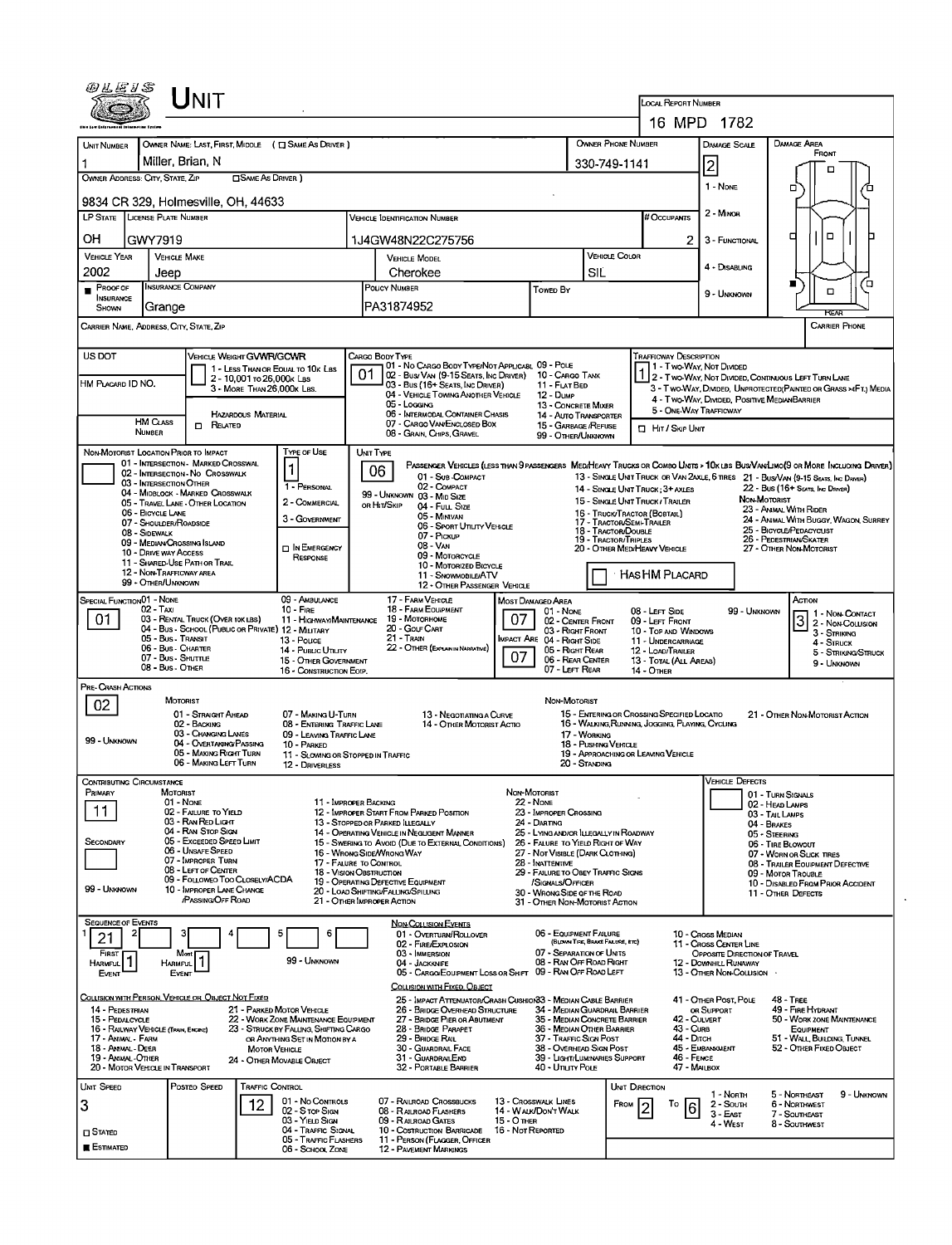| <i>®LE1S</i>                                                                                    |                                                                 | <b>NIT</b>                                                  |                                                          |                                                                   |                                                                                        |                                                                                                           |                                     |                                                                                                            |                                                        |                                                   | <b>LOCAL REPORT NUMBER</b>                                                        |                                                       |                                               |                                                                                                                                                                                                                     |  |  |
|-------------------------------------------------------------------------------------------------|-----------------------------------------------------------------|-------------------------------------------------------------|----------------------------------------------------------|-------------------------------------------------------------------|----------------------------------------------------------------------------------------|-----------------------------------------------------------------------------------------------------------|-------------------------------------|------------------------------------------------------------------------------------------------------------|--------------------------------------------------------|---------------------------------------------------|-----------------------------------------------------------------------------------|-------------------------------------------------------|-----------------------------------------------|---------------------------------------------------------------------------------------------------------------------------------------------------------------------------------------------------------------------|--|--|
|                                                                                                 |                                                                 |                                                             |                                                          |                                                                   |                                                                                        |                                                                                                           |                                     |                                                                                                            |                                                        |                                                   |                                                                                   | 16 MPD 1782                                           |                                               |                                                                                                                                                                                                                     |  |  |
| UNIT NUMBER                                                                                     |                                                                 |                                                             |                                                          | OWNER NAME: LAST, FIRST, MIDDLE ( C SAME AS DRIVER )              |                                                                                        |                                                                                                           |                                     |                                                                                                            | OWNER PHONE NUMBER                                     |                                                   |                                                                                   | DAMAGE SCALE                                          | DAMAGE AREA                                   |                                                                                                                                                                                                                     |  |  |
|                                                                                                 | Miller, Brian, N                                                |                                                             |                                                          |                                                                   |                                                                                        |                                                                                                           |                                     |                                                                                                            |                                                        |                                                   | 330-749-1141                                                                      | 2                                                     |                                               | FRONT                                                                                                                                                                                                               |  |  |
|                                                                                                 | OWNER ADDRESS: CITY, STATE, ZIP<br>□SAME AS DRIVER )            |                                                             |                                                          |                                                                   |                                                                                        |                                                                                                           |                                     |                                                                                                            |                                                        |                                                   |                                                                                   |                                                       | □                                             | D                                                                                                                                                                                                                   |  |  |
| 9834 CR 329, Holmesville, OH, 44633                                                             |                                                                 |                                                             |                                                          |                                                                   |                                                                                        |                                                                                                           |                                     |                                                                                                            |                                                        |                                                   |                                                                                   | 1 - NONE<br>2 - MINOR                                 |                                               |                                                                                                                                                                                                                     |  |  |
| <b>LP STATE</b>                                                                                 | LICENSE PLATE NUMBER                                            |                                                             |                                                          |                                                                   |                                                                                        | Vehicle Identification Number                                                                             |                                     |                                                                                                            |                                                        |                                                   | # Occupants                                                                       |                                                       |                                               |                                                                                                                                                                                                                     |  |  |
| ΟН<br>GWY7919                                                                                   |                                                                 |                                                             |                                                          |                                                                   | 1J4GW48N22C275756                                                                      |                                                                                                           |                                     |                                                                                                            |                                                        | 2                                                 | 3 - FUNCTIONAL                                                                    | п                                                     | $\Box$                                        |                                                                                                                                                                                                                     |  |  |
| <b>VEHICLE YEAR</b>                                                                             | <b>VEHICLE MAKE</b>                                             |                                                             |                                                          |                                                                   |                                                                                        | <b>VEHICLE COLOR</b><br><b>VEHICLE MODEL</b>                                                              |                                     |                                                                                                            |                                                        |                                                   |                                                                                   |                                                       |                                               |                                                                                                                                                                                                                     |  |  |
| 2002                                                                                            | Jeep                                                            |                                                             |                                                          |                                                                   |                                                                                        | Cherokee                                                                                                  |                                     |                                                                                                            |                                                        |                                                   |                                                                                   | 4 - DISABLING                                         | n                                             | Έ                                                                                                                                                                                                                   |  |  |
| <b>PROOF OF</b><br><b>INSURANCE</b><br>SHOWN                                                    | <b>INSURANCE COMPANY</b><br>Grange                              |                                                             |                                                          |                                                                   |                                                                                        | POLICY NUMBER<br><b>Towed By</b><br>PA31874952                                                            |                                     |                                                                                                            |                                                        |                                                   |                                                                                   | 9 - UNKNOWN                                           |                                               | □                                                                                                                                                                                                                   |  |  |
| CARRIER NAME, ADDRESS, CITY, STATE, ZIP                                                         |                                                                 |                                                             |                                                          |                                                                   |                                                                                        |                                                                                                           |                                     |                                                                                                            |                                                        |                                                   |                                                                                   |                                                       |                                               | REAR<br><b>CARRIER PHONE</b>                                                                                                                                                                                        |  |  |
| US DOT                                                                                          |                                                                 | <b>VEHICLE WEIGHT GVWR/GCWR</b>                             |                                                          |                                                                   |                                                                                        | CARGO BODY TYPE                                                                                           |                                     |                                                                                                            |                                                        |                                                   | <b>TRAFFICWAY DESCRIPTION</b>                                                     |                                                       |                                               |                                                                                                                                                                                                                     |  |  |
|                                                                                                 |                                                                 |                                                             |                                                          | 1 - LESS THAN OR EQUAL TO 10K LBS                                 |                                                                                        | 01 - No CARGO BODY TYPE/NOT APPLICABL 09 - POLE<br>02 - Bus/ VAN (9-15 SEATS, INC DRIVER) 10 - CARGO TANK |                                     |                                                                                                            |                                                        |                                                   | 1 - Two-Way, Not Divided<br>1 2 - Two-Way, Not Divided, Continuous Left Turn Lane |                                                       |                                               |                                                                                                                                                                                                                     |  |  |
| HM PLACARD ID NO.                                                                               |                                                                 |                                                             | 2 - 10,001 TO 26,000 K LBS<br>3 - MORE THAN 26.000K LBS. |                                                                   |                                                                                        | 03 - Bus (16+ Seats, Inc Driver)<br>04 - VEHICLE TOWING ANOTHER VEHICLE                                   |                                     | 11 - FLAT BED                                                                                              |                                                        |                                                   |                                                                                   |                                                       |                                               | 3 - Two-Way, DIMDED, UNPROTECTED (PAINTED OR GRASS >4FT.) MEDIA                                                                                                                                                     |  |  |
|                                                                                                 |                                                                 |                                                             |                                                          |                                                                   |                                                                                        | 05 - Loccuvo                                                                                              |                                     | <b>12 - DuмP</b><br>13 - CONCRETE MIXER                                                                    |                                                        |                                                   | 5 - ONE-WAY TRAFFICWAY                                                            | 4 - Two WAY, DIMDED, POSITIVE MEDIANBARRIER           |                                               |                                                                                                                                                                                                                     |  |  |
|                                                                                                 | <b>HM CLASS</b>                                                 | $\Box$ Related                                              | <b>HAZARDOUS MATERIAL</b>                                |                                                                   |                                                                                        | 06 - INTERMODAL CONTAINER CHASIS<br>07 - CARGO VAN/ENCLOSED BOX                                           |                                     | <b>14 - AUTO TRANSPORTER</b><br>15 - GARBAGE /REFUSE                                                       |                                                        |                                                   | <b>D</b> HIT / SKIP UNIT                                                          |                                                       |                                               |                                                                                                                                                                                                                     |  |  |
|                                                                                                 | <b>NUMBER</b>                                                   |                                                             |                                                          |                                                                   |                                                                                        | 08 - GRAIN, CHIPS, GRAVEL                                                                                 |                                     | 99 - OTHER/UNKNOWN                                                                                         |                                                        |                                                   |                                                                                   |                                                       |                                               |                                                                                                                                                                                                                     |  |  |
| NON-MOTORIST LOCATION PRIOR TO IMPACT                                                           |                                                                 | 01 - INTERSECTION - MARKED CROSSWAL                         |                                                          | <b>TYPE OF USE</b>                                                | UNIT TYPE                                                                              |                                                                                                           |                                     |                                                                                                            |                                                        |                                                   |                                                                                   |                                                       |                                               |                                                                                                                                                                                                                     |  |  |
|                                                                                                 |                                                                 | 02 - INTERSECTION - NO CROSSWALK                            |                                                          | 1                                                                 |                                                                                        | 06<br>01 - Sub-COMPACT                                                                                    |                                     |                                                                                                            |                                                        |                                                   |                                                                                   |                                                       |                                               | PASSENGER VEHICLES (LESS THAN 9 PASSENGERS MEDIMEAVY TRUCKS OR COMBO UNITS > 10K LBS BUS/VAN/LIMO(9 OR MORE INCLUDING DRIVER)<br>13 - SINGLE UNIT TRUCK OR VAN 2AXLE, 6 TIRES 21 - BUS/VAN (9-15 SEATS, INC DRAWER) |  |  |
|                                                                                                 | 03 - INTERSECTION OTHER                                         | 04 - MIDBLOCK - MARKED CROSSWALK                            |                                                          | 1 - PERSONAL                                                      |                                                                                        | 02 - COMPACT<br>99 - UNKNOWN 03 - MID SIZE                                                                |                                     |                                                                                                            |                                                        |                                                   | 14 - SINGLE UNIT TRUCK; 3+ AXLES                                                  |                                                       |                                               | 22 - Bus (16+ Seats, Inc Draver)                                                                                                                                                                                    |  |  |
|                                                                                                 | 06 - BICYCLE LANE                                               | 05 - TRAVEL LANE - OTHER LOCATION                           |                                                          | 2 - COMMERCIAL                                                    |                                                                                        | or Hit/Skip<br>04 - Full Size<br>05 - MINIVAN                                                             |                                     |                                                                                                            |                                                        |                                                   | 15 - SINGLE UNIT TRUCK / TRAILER<br>16 TRUCK/TRACTOR (BOBTAIL)                    |                                                       | NON-MOTORIST<br>23 - ANIMAL WITH RIDER        |                                                                                                                                                                                                                     |  |  |
|                                                                                                 | 07 - SHOULDER/ROADSIDE<br>08 - Sidewalk                         |                                                             |                                                          | 3 - GOVERNMENT                                                    |                                                                                        | 06 - Sport Utility Vehicle                                                                                |                                     |                                                                                                            | 17 - TRACTOR/SEMI-TRAILER<br>18 - TRACTOR/DOUBLE       |                                                   |                                                                                   |                                                       | 25 - BICYCLE/PEDACYCLIST                      | 24 - ANIMAL WITH BUGGY, WAGON, SURREY                                                                                                                                                                               |  |  |
|                                                                                                 |                                                                 | 09 - MEDIAN CROSSING ISLAND                                 |                                                          | <b>DIN EMERGENCY</b>                                              | 07 - Pickup<br><b>19 - TRACTOR/TRIPLES</b><br>08 - VAN<br>20 - OTHER MEDIHEAVY VEHICLE |                                                                                                           |                                     |                                                                                                            |                                                        | 26 - Pedestrian/Skater<br>27 - Other Non-Motorist |                                                                                   |                                                       |                                               |                                                                                                                                                                                                                     |  |  |
|                                                                                                 | 10 - DRIVE WAY ACCESS                                           | 11 - SHARED-USE PATH OR TRAIL                               |                                                          | RESPONSE                                                          |                                                                                        | 09 - MOTORCYCLE<br>10 - Motorized Bicycle                                                                 |                                     |                                                                                                            |                                                        |                                                   |                                                                                   |                                                       |                                               |                                                                                                                                                                                                                     |  |  |
|                                                                                                 | 12 - NON-TRAFFICWAY AREA<br>99 - OTHER/UNKNOWN                  |                                                             |                                                          |                                                                   |                                                                                        | 11 - SNOWMOBILE/ATV<br>12 - OTHER PASSENGER VEHICLE                                                       |                                     |                                                                                                            |                                                        |                                                   | HASHM PLACARD                                                                     |                                                       |                                               |                                                                                                                                                                                                                     |  |  |
| SPECIAL FUNCTION 01 - NONE                                                                      |                                                                 |                                                             |                                                          | 09 - AMBULANCE                                                    |                                                                                        | 17 - FARM VEHICLE                                                                                         | <b>MOST DAMAGED AREA</b>            |                                                                                                            |                                                        |                                                   |                                                                                   |                                                       |                                               | ACTION                                                                                                                                                                                                              |  |  |
| 02 - Taxi<br>$10 -$ Fire<br>01.<br>03 - RENTAL TRUCK (OVER 10K LBS)<br>11 - HIGHWAY/MAINTENANCE |                                                                 |                                                             |                                                          |                                                                   |                                                                                        | 18 - FARM EQUIPMENT<br>19 - Мотовноме                                                                     | 07                                  | 01 - NONE                                                                                                  | 08 - LEFT SIDE<br>02 - CENTER FRONT<br>09 - LEFT FRONT |                                                   |                                                                                   | 99 - UNKNOWN                                          | 1 - Non-Contact                               |                                                                                                                                                                                                                     |  |  |
|                                                                                                 | 05 - Bus - Transit                                              | 04 - Bus - SCHOOL (PUBLIC OR PRIVATE) 12 - MILITARY         |                                                          | 13 - Pouce                                                        |                                                                                        | 20 - Gour Cart<br>21 - TRAIN                                                                              |                                     | 03 - Right Front<br>MPACT ARE 04 - RIGHT SIDE                                                              |                                                        |                                                   | 10 - TOP AND WINDOWS<br>11 - UNDERCARRIAGE                                        |                                                       |                                               | $3 - \frac{1}{3}$                                                                                                                                                                                                   |  |  |
|                                                                                                 | 06 - Bus - CHARTER<br>14 - PUBLIC UTILITY<br>07 - Bus - SHUTTLE |                                                             |                                                          |                                                                   |                                                                                        |                                                                                                           | 07                                  | 05 - Right Rear                                                                                            |                                                        |                                                   | 12 - LOAD/TRAILER                                                                 |                                                       |                                               | 4 - Struck<br>5 - STRIKING/STRUCK                                                                                                                                                                                   |  |  |
|                                                                                                 | 08 - Bus - OTHER                                                |                                                             |                                                          | 15 - OTHER GOVERNMENT<br>16 - CONSTRUCTION EOIP.                  |                                                                                        |                                                                                                           |                                     | 06 - REAR CENTER<br>07 - LEFT REAR                                                                         |                                                        |                                                   | 13 - TOTAL (ALL AREAS)<br><b>14 - OTHER</b>                                       |                                                       |                                               | 9 - UNKNOWN                                                                                                                                                                                                         |  |  |
| PRE- CRASH ACTIONS                                                                              |                                                                 |                                                             |                                                          |                                                                   |                                                                                        |                                                                                                           |                                     |                                                                                                            |                                                        |                                                   |                                                                                   |                                                       |                                               |                                                                                                                                                                                                                     |  |  |
| 02                                                                                              | MOTORIST                                                        | 01 - STRAIGHT AHEAD                                         |                                                          | 07 - MAKING U-TURN                                                |                                                                                        | 13 - NEGOTIATING A CURVE                                                                                  |                                     | NON-MOTORIST                                                                                               |                                                        |                                                   | 15 - ENTERING OR CROSSING SPECIFIED LOCATIO                                       |                                                       |                                               |                                                                                                                                                                                                                     |  |  |
|                                                                                                 |                                                                 | 02 - BACKING                                                |                                                          | 08 - ENTERING TRAFFIC LANE                                        |                                                                                        | 14 - OTHER MOTORIST ACTIO                                                                                 |                                     |                                                                                                            |                                                        |                                                   | 16 - WALKING, RUNNING, JOGGING, PLAYING, CYCLING                                  |                                                       |                                               | 21 - OTHER NON-MOTORIST ACTION                                                                                                                                                                                      |  |  |
| 99 - UNKNOWN                                                                                    |                                                                 | 03 - CHANGING LANES<br>04 - OVERTAKING/PASSING              |                                                          | 09 - LEAVING TRAFFIC LANE<br>10 - PARKED                          |                                                                                        |                                                                                                           |                                     |                                                                                                            | 17 - WORKING<br>18 - PUSHING VEHICLE                   |                                                   |                                                                                   |                                                       |                                               |                                                                                                                                                                                                                     |  |  |
|                                                                                                 |                                                                 | 05 - MAKING RIGHT TURN<br>06 - MAKING LEFT TURN             |                                                          | 11 - SLOWING OR STOPPED IN TRAFFIC<br>12 - DRIVERLESS             |                                                                                        |                                                                                                           |                                     |                                                                                                            | 20 - STANDING                                          |                                                   | 19 - APPROACHING OR LEAVING VEHICLE                                               |                                                       |                                               |                                                                                                                                                                                                                     |  |  |
| CONTRIBUTING CIRCUMSTANCE                                                                       |                                                                 |                                                             |                                                          |                                                                   |                                                                                        |                                                                                                           |                                     |                                                                                                            |                                                        |                                                   |                                                                                   | <b>VEHICLE DEFECTS</b>                                |                                               |                                                                                                                                                                                                                     |  |  |
| PRIMARY                                                                                         | MOTORIST<br>01 - None                                           |                                                             |                                                          | 11 - IMPROPER BACKING                                             |                                                                                        |                                                                                                           | NON-MOTORIST<br><b>22 - NONE</b>    |                                                                                                            |                                                        |                                                   |                                                                                   |                                                       | 01 - TURN SIGNALS<br>02 - HEAD LAMPS          |                                                                                                                                                                                                                     |  |  |
| 11                                                                                              |                                                                 | 02 - FAILURE TO YIELD<br>03 - RAN RED LIGHT                 |                                                          |                                                                   |                                                                                        | 12 - IMPROPER START FROM PARKED POSITION                                                                  |                                     | 23 - IMPROPER CROSSING                                                                                     |                                                        |                                                   |                                                                                   |                                                       | 03 - TAIL LAMPS                               |                                                                                                                                                                                                                     |  |  |
|                                                                                                 |                                                                 | 04 - RAN STOP SIGN                                          |                                                          |                                                                   |                                                                                        | 13 - STOPPED OR PARKED ILLEGALLY<br>14 - Operating Vehicle in Negligent MANNER                            |                                     | 24 - DARTING<br>25 - LYING AND/OR ILLEGALLY IN ROADWAY                                                     |                                                        |                                                   |                                                                                   |                                                       | 04 - BRAKES<br>05 - STEERING                  |                                                                                                                                                                                                                     |  |  |
| Secondary                                                                                       |                                                                 | 05 - Exceeded Speed Limit<br>06 - UNSAFE SPEED              |                                                          |                                                                   |                                                                                        | 15 - Swering to Avoid (Due to External Conditions)<br>16 - WRONG SIDE/WRONG WAY                           |                                     | 26 - FALURE TO YIELD RIGHT OF WAY<br>27 - NOT VISIBLE (DARK CLOTHING)                                      |                                                        |                                                   |                                                                                   |                                                       | 06 - TIRE BLOWOUT<br>07 - WORN OR SLICK TIRES |                                                                                                                                                                                                                     |  |  |
|                                                                                                 |                                                                 | 07 - IMPROPER TURN<br>08 - LEFT OF CENTER                   |                                                          | 17 - FALURE TO CONTROL<br>18 - VISION OBSTRUCTION                 |                                                                                        |                                                                                                           |                                     | 28 - Inattentive<br>29 - FAILURE TO OBEY TRAFFIC SIGNS<br>09 - MOTOR TROUBLE                               |                                                        |                                                   |                                                                                   | 08 - TRAILER EQUIPMENT DEFECTIVE                      |                                               |                                                                                                                                                                                                                     |  |  |
| 99 - UNKNOWN                                                                                    |                                                                 | 09 - FOLLOWEO TOO CLOSELY/ACDA<br>10 - IMPROPER LANE CHANGE |                                                          |                                                                   |                                                                                        | 19 - OPERATING DEFECTIVE EQUIPMENT<br>20 - LOAD SHIFTING/FALUNG/SPILLING                                  |                                     | /SIGNALS/OFFICER<br>10 - DISABLED FROM PRIOR ACCIDENT<br>30 - Wrong Side of the Road<br>11 - OTHER DEFECTS |                                                        |                                                   |                                                                                   |                                                       |                                               |                                                                                                                                                                                                                     |  |  |
|                                                                                                 |                                                                 | <b>PASSING OFF ROAD</b>                                     |                                                          |                                                                   |                                                                                        | 21 - OTHER IMPROPER ACTION                                                                                |                                     | 31 - OTHER NON-MOTORIST ACTION                                                                             |                                                        |                                                   |                                                                                   |                                                       |                                               |                                                                                                                                                                                                                     |  |  |
| <b>SEQUENCE OF EVENTS</b>                                                                       |                                                                 |                                                             |                                                          |                                                                   |                                                                                        | <b>NON-COLLISION EVENTS</b>                                                                               |                                     |                                                                                                            |                                                        |                                                   |                                                                                   |                                                       |                                               |                                                                                                                                                                                                                     |  |  |
| 2<br>21                                                                                         |                                                                 |                                                             |                                                          | 5<br>6                                                            |                                                                                        | 01 - Overturn/ROLLOVER<br>02 - FIRE/EXPLOSION                                                             |                                     | 06 - EQUIPMENT FAILURE                                                                                     | (BLOWN TIRE, BRAKE FAILURE, ETC)                       |                                                   |                                                                                   | 10 - Cross Median<br>11 - Cross Center Line           |                                               |                                                                                                                                                                                                                     |  |  |
| FIRST<br>Harmful                                                                                | <b>HARMFUL</b>                                                  | Most                                                        |                                                          | 99 - Unknown                                                      |                                                                                        | 03 - IMMERSION<br>04 - JACKKNIFE                                                                          |                                     | 07 - SEPARATION OF UNITS<br>08 - RAN OFF ROAD RIGHT                                                        |                                                        |                                                   |                                                                                   | OPPOSITE DIRECTION OF TRAVEL<br>12 - DOWNHILL RUNAWAY |                                               |                                                                                                                                                                                                                     |  |  |
| Event                                                                                           | EVENT                                                           |                                                             |                                                          |                                                                   |                                                                                        | 05 - CARGO/EQUIPMENT LOSS OR SHIFT 09 - RAN OFF ROAD LEFT                                                 |                                     |                                                                                                            |                                                        |                                                   |                                                                                   | 13 - Other Non-Collision                              |                                               |                                                                                                                                                                                                                     |  |  |
| COLLISION WITH PERSON, VEHICLE OR OBJECT NOT FIXED                                              |                                                                 |                                                             |                                                          |                                                                   |                                                                                        | COLLISION WITH FIXED, OBJECT<br>25 - IMPACT ATTENUATOR/CRASH CUSHION33 - MEDIAN CABLE BARRIER             |                                     |                                                                                                            |                                                        |                                                   |                                                                                   | 41 - OTHER POST, POLE                                 | <b>48 - TREE</b>                              |                                                                                                                                                                                                                     |  |  |
| 14 - PEDESTRIAN<br>15 - PEDALCYCLE                                                              |                                                                 |                                                             |                                                          | 21 - PARKED MOTOR VEHICLE<br>22 - WORK ZONE MAINTENANCE EQUIPMENT |                                                                                        | 26 - BRIDGE OVERHEAD STRUCTURE<br>27 - BRIDGE PIER OR ABUTMENT                                            |                                     | 34 - MEDIAN GUARDRAIL BARRIER<br>35 - MEDIAN CONCRETE BARRIER                                              |                                                        |                                                   | 42 - CULVERT                                                                      | or Support                                            |                                               | 49 - FIRE HYDRANT<br>50 - WORK ZONE MAINTENANCE                                                                                                                                                                     |  |  |
| 16 - RAILWAY VEHICLE (TRAIN, ENGINE)                                                            |                                                                 |                                                             |                                                          | 23 - Struck by Falling, Shifting Cargo                            |                                                                                        | 28 - BRIDGE PARAPET                                                                                       |                                     | 36 - MEDIAN OTHER BARRIER                                                                                  |                                                        |                                                   | <b>43 - Curs</b>                                                                  |                                                       |                                               | EQUIPMENT                                                                                                                                                                                                           |  |  |
| 17 - Animal - Farm<br>18 - ANMAL - DEER                                                         |                                                                 |                                                             | <b>MOTOR VEHICLE</b>                                     | OR ANYTHING SET IN MOTION BY A                                    |                                                                                        | 29 - Bridge Rail<br>30 - GUARDRAIL FACE                                                                   |                                     | 37 - TRAFFIC SIGN POST<br>38 - Overhead Sign Post                                                          |                                                        |                                                   | 44 - Олгон                                                                        | 45 - EMBANKMENT                                       |                                               | 51 - WALL BUILDING, TUNNEL<br>52 - OTHER FIXED OBJECT                                                                                                                                                               |  |  |
| 19 - ANIMAL - OTHER<br>20 - MOTOR VEHICLE IN TRANSPORT                                          |                                                                 |                                                             |                                                          | 24 - OTHER MOVABLE OBJECT                                         |                                                                                        | 31 - GUARDRAILEND<br>32 - PORTABLE BARRIER                                                                |                                     | 39 - LIGHT/LUMINARIES SUPPORT<br>40 - Unury Pous                                                           |                                                        |                                                   | 46 - FENCE<br>47 - MALBOX                                                         |                                                       |                                               |                                                                                                                                                                                                                     |  |  |
| Unit Speed                                                                                      |                                                                 | Posteo Speed                                                | <b>TRAFFIC CONTROL</b>                                   |                                                                   |                                                                                        |                                                                                                           |                                     |                                                                                                            |                                                        | Unit Direction                                    |                                                                                   |                                                       |                                               |                                                                                                                                                                                                                     |  |  |
| 3                                                                                               |                                                                 |                                                             | 12.                                                      | 01 - No CONTROLS                                                  |                                                                                        | 07 - RALROAD CROSSBUCKS                                                                                   | 13 - Crosswalk Lines                |                                                                                                            |                                                        | FROM                                              | То<br>6                                                                           | 1 - North<br>$2 -$ South                              | 5 - NORTHEAST<br>6 - Northwest                | 9 - UNKNOWN                                                                                                                                                                                                         |  |  |
|                                                                                                 |                                                                 |                                                             |                                                          | 02 - S TOP SIGN<br>03 - Yieup Sign                                |                                                                                        | 08 - RAILROAD FLASHERS<br>09 - RALROAD GATES                                                              | 14 - WALK/DON'T WALK<br>15 - O THER |                                                                                                            |                                                        |                                                   |                                                                                   | 3 - East<br>4 - West                                  | 7 - SOUTHEAST<br>8 - Southwest                |                                                                                                                                                                                                                     |  |  |
| $\square$ Stated                                                                                |                                                                 |                                                             |                                                          | 04 - TRAFFIC SIGNAL<br>05 - TRAFFIC FLASHERS                      |                                                                                        | 10 - Costruction Barricade<br>11 - PERSON (FLAGGER, OFFICER                                               | 16 - Not Reported                   |                                                                                                            |                                                        |                                                   |                                                                                   |                                                       |                                               |                                                                                                                                                                                                                     |  |  |
| E ESTIMATED                                                                                     |                                                                 |                                                             |                                                          | 06 - SCHOOL ZONE                                                  |                                                                                        | <b>12 - PAVEMENT MARKINGS</b>                                                                             |                                     |                                                                                                            |                                                        |                                                   |                                                                                   |                                                       |                                               |                                                                                                                                                                                                                     |  |  |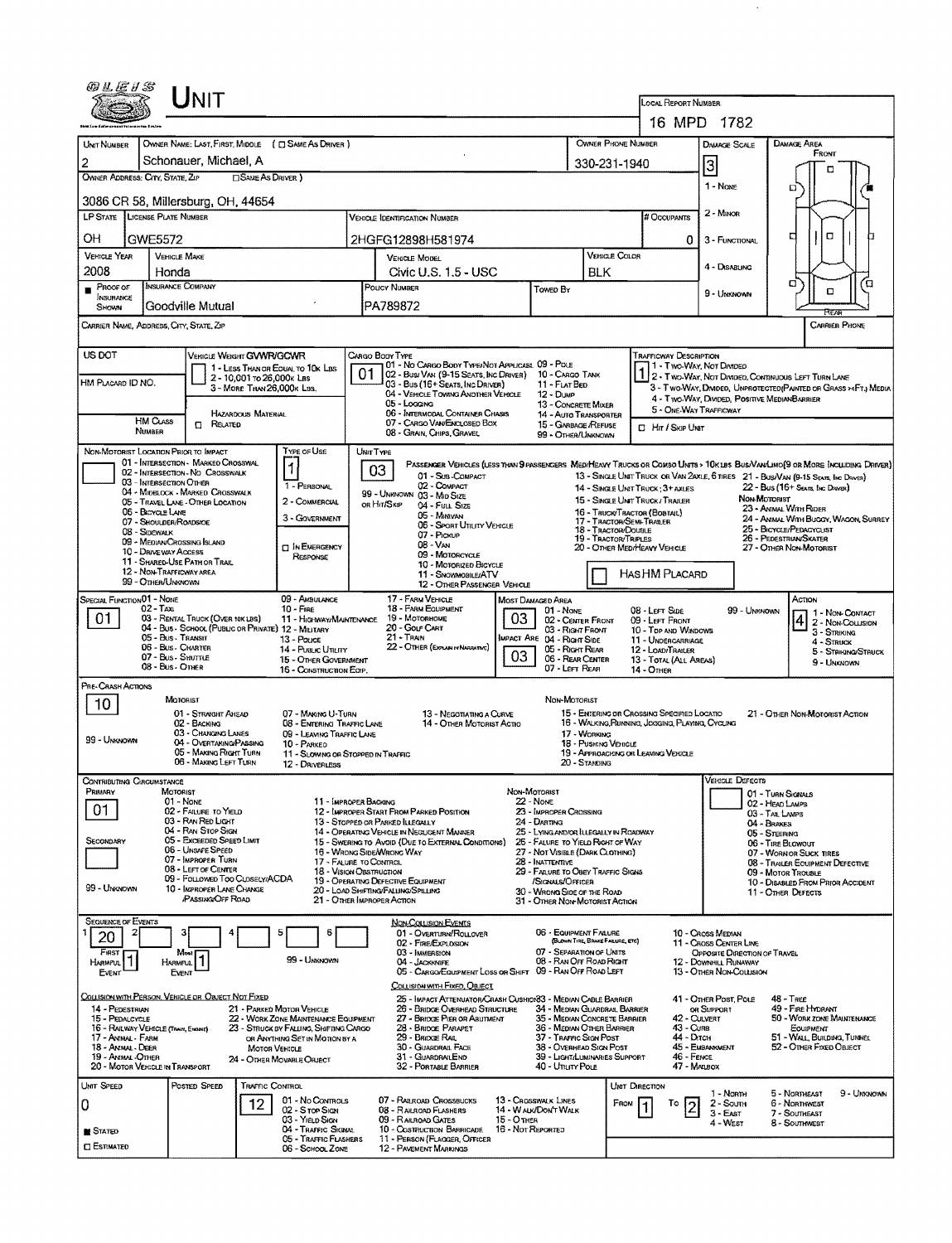| <i>®LE1\$</i>                                                                                                                                                                                              |                                                     | <b>NIT</b>                                                              |                            |                                                                          |                                                                              |                                                                                                                                                                                 |                                                        |                                                                                                                                                                            |                                                                                     |                               |                                                                                                           |                                                             |                                                                                                                                                                                                                   |  |  |  |
|------------------------------------------------------------------------------------------------------------------------------------------------------------------------------------------------------------|-----------------------------------------------------|-------------------------------------------------------------------------|----------------------------|--------------------------------------------------------------------------|------------------------------------------------------------------------------|---------------------------------------------------------------------------------------------------------------------------------------------------------------------------------|--------------------------------------------------------|----------------------------------------------------------------------------------------------------------------------------------------------------------------------------|-------------------------------------------------------------------------------------|-------------------------------|-----------------------------------------------------------------------------------------------------------|-------------------------------------------------------------|-------------------------------------------------------------------------------------------------------------------------------------------------------------------------------------------------------------------|--|--|--|
|                                                                                                                                                                                                            |                                                     |                                                                         |                            |                                                                          |                                                                              |                                                                                                                                                                                 |                                                        |                                                                                                                                                                            |                                                                                     |                               | LOCAL REPORT NUMBER                                                                                       |                                                             |                                                                                                                                                                                                                   |  |  |  |
|                                                                                                                                                                                                            |                                                     |                                                                         |                            |                                                                          |                                                                              |                                                                                                                                                                                 |                                                        |                                                                                                                                                                            |                                                                                     |                               |                                                                                                           | 16 MPD 1782<br><b>DAMAGE SCALE</b>                          |                                                                                                                                                                                                                   |  |  |  |
| UNIT NUMBER                                                                                                                                                                                                |                                                     |                                                                         |                            | OWNER NAME: LAST, FIRST, MIDDLE ( C SAME AS DRIVER )                     |                                                                              |                                                                                                                                                                                 |                                                        | <b>OWNER PHONE NUMBER</b>                                                                                                                                                  |                                                                                     | <b>DAMAGE AREA</b><br>FRONT   |                                                                                                           |                                                             |                                                                                                                                                                                                                   |  |  |  |
| 2<br>OWNER ADDRESS: CITY, STATE, ZIP                                                                                                                                                                       |                                                     | Schonauer, Michael, A                                                   | <b>ISAME AS DRIVER</b> )   |                                                                          |                                                                              |                                                                                                                                                                                 | 330-231-1940                                           |                                                                                                                                                                            | 3                                                                                   | n                             |                                                                                                           |                                                             |                                                                                                                                                                                                                   |  |  |  |
|                                                                                                                                                                                                            |                                                     |                                                                         |                            |                                                                          |                                                                              |                                                                                                                                                                                 |                                                        |                                                                                                                                                                            |                                                                                     |                               |                                                                                                           | 1 - Nove                                                    | ם                                                                                                                                                                                                                 |  |  |  |
| 3086 CR 58, Millersburg, OH, 44654<br><b>LP STATE</b>                                                                                                                                                      | <b>LICENSE PLATE NUMBER</b>                         |                                                                         |                            |                                                                          |                                                                              | VEHICLE IDENTIFICATION NUMBER                                                                                                                                                   |                                                        |                                                                                                                                                                            |                                                                                     |                               | # Occupants                                                                                               | 2 - MINOR                                                   |                                                                                                                                                                                                                   |  |  |  |
|                                                                                                                                                                                                            | OН<br>GWE5572                                       |                                                                         |                            |                                                                          |                                                                              |                                                                                                                                                                                 |                                                        |                                                                                                                                                                            |                                                                                     |                               |                                                                                                           |                                                             | Ω<br>n<br>о                                                                                                                                                                                                       |  |  |  |
| <b>VEHICLE YEAR</b>                                                                                                                                                                                        | <b>VEHICLE MAKE</b>                                 |                                                                         |                            |                                                                          |                                                                              | 2HGFG12898H581974                                                                                                                                                               |                                                        |                                                                                                                                                                            |                                                                                     | VEHICLE COLOR                 | 0                                                                                                         | 3 - FUNCTIONAL                                              |                                                                                                                                                                                                                   |  |  |  |
| 2008                                                                                                                                                                                                       | Honda                                               |                                                                         |                            |                                                                          | VEHICLE MODEL<br>Civic U.S. 1.5 - USC                                        |                                                                                                                                                                                 |                                                        |                                                                                                                                                                            | BLK                                                                                 |                               |                                                                                                           | 4 - DISABUNG                                                |                                                                                                                                                                                                                   |  |  |  |
| PROOF OF                                                                                                                                                                                                   | <b>INSURANCE COMPANY</b>                            |                                                                         |                            |                                                                          | POUCY NUMBER<br>Towed By                                                     |                                                                                                                                                                                 |                                                        |                                                                                                                                                                            |                                                                                     |                               |                                                                                                           | 9 - UNKNOWN                                                 | σ<br>o<br>о                                                                                                                                                                                                       |  |  |  |
| <b>INSURANCE</b><br>SHOWN                                                                                                                                                                                  |                                                     | Goodville Mutual                                                        |                            |                                                                          |                                                                              | PA789872                                                                                                                                                                        |                                                        |                                                                                                                                                                            |                                                                                     |                               |                                                                                                           | REAR                                                        |                                                                                                                                                                                                                   |  |  |  |
| CARRIER NAME, ADDRESS, CITY, STATE, ZIP                                                                                                                                                                    |                                                     |                                                                         |                            |                                                                          |                                                                              |                                                                                                                                                                                 |                                                        |                                                                                                                                                                            |                                                                                     |                               |                                                                                                           |                                                             | CARRIER PHONE                                                                                                                                                                                                     |  |  |  |
| US DOT                                                                                                                                                                                                     |                                                     | VERICLE WEIGHT GWWR/GCWR                                                |                            |                                                                          |                                                                              | CARGO BODY TYPE                                                                                                                                                                 |                                                        |                                                                                                                                                                            |                                                                                     |                               | <b>TRAFFICWAY DESCRIPTION</b>                                                                             |                                                             |                                                                                                                                                                                                                   |  |  |  |
|                                                                                                                                                                                                            |                                                     |                                                                         | 2 - 10,001 to 26,000k Las  | 1 - LESS THAN OR EQUAL TO 10K LBS                                        |                                                                              | 01 - No CARGO BODY TYPE/NOT APPLICABL 09 - POLE<br>02 - Bus/ Van (9-15 Seats, Inc Driver) 10 - Cargo Tank                                                                       |                                                        |                                                                                                                                                                            |                                                                                     |                               | 1 - Two-Way, Not Divided<br>I 2 - Two-Way, Not Divideo, Continuous LEFT TURN LANE                         |                                                             |                                                                                                                                                                                                                   |  |  |  |
| HM PLACARD ID NO.                                                                                                                                                                                          |                                                     |                                                                         | 3 - MORE THAN 26,000K LBS. |                                                                          |                                                                              | 03 - Bus (16+ Seats, Inc Driver)<br>04 - VEHICLE TOWING ANOTHER VEHICLE                                                                                                         |                                                        | 11 - FLAT BED<br>12 - Dump                                                                                                                                                 |                                                                                     |                               |                                                                                                           | 4 - Two-Way, DWDED, POSITIVE MEDIANBARRIER                  | 3 - Two-WAY, DMOED, UNPROTECTED (PAINTED OR GRASS >4FT.) MEDIA                                                                                                                                                    |  |  |  |
|                                                                                                                                                                                                            |                                                     |                                                                         | HAZARDOUS MATERIAL         |                                                                          |                                                                              | 05 - Logang<br>06 - INTERMODAL CONTAINER CHASIS                                                                                                                                 |                                                        | 13 - CONCRETE MIXER<br><b>14 - AUTO TRANSPORTER</b>                                                                                                                        |                                                                                     |                               | 5 - ONE-WAY TRAFFICWAY                                                                                    |                                                             |                                                                                                                                                                                                                   |  |  |  |
|                                                                                                                                                                                                            | <b>HM CLASS</b><br>NUMBER                           | <b>CI RELATED</b>                                                       |                            |                                                                          |                                                                              | 07 - CARGO VAN/ENCLOSED BOX<br>08 - Gran, Chips, Gravel                                                                                                                         |                                                        | 15 - GARBAGE /REFUSE<br>99 - OTHER/UNKNOWN                                                                                                                                 |                                                                                     |                               | C Hr / Skip UNIT                                                                                          |                                                             |                                                                                                                                                                                                                   |  |  |  |
| NON-MOTORIST LOCATION PRIOR TO IMPACT                                                                                                                                                                      |                                                     |                                                                         |                            | TYPE OF USE                                                              |                                                                              | UNIT TYPE                                                                                                                                                                       |                                                        |                                                                                                                                                                            |                                                                                     |                               |                                                                                                           |                                                             |                                                                                                                                                                                                                   |  |  |  |
|                                                                                                                                                                                                            |                                                     | 01 - INTERSECTION - MARKED CROSSWAL<br>02 - INTERSECTION - NO CROSSWALK |                            | $\mathbf{1}$                                                             |                                                                              | 03<br>01 - Sub-COMPACT                                                                                                                                                          |                                                        |                                                                                                                                                                            |                                                                                     |                               |                                                                                                           |                                                             | PASSENGER VEHICLES (LESS THAN 9 PASSENGERS MEDIMEANY TRUCKS OR COMBO UNITS > 10K LBS BUS/VAMUMO(9 OR MORE INCLUDING DRIVER)<br>13 - SINGLE UNIT TRUCK OR VAN 2AXLE, 6 TIRES 21 - BUS/VAN (9-15 SEATS, INC DRIVER) |  |  |  |
|                                                                                                                                                                                                            | 03 - INTERSECTION OTHER                             | 04 - MIDBLOCK - MARKED CROSSWALK                                        |                            | 1 - PERSONAL                                                             |                                                                              | 02 - COMPACT<br>99 - UNKNOWN 03 - MID SIZE                                                                                                                                      |                                                        |                                                                                                                                                                            |                                                                                     |                               | 14 - SINGLE UNIT TRUCK: 3+ AXLES                                                                          |                                                             | 22 - Bus (16+ Seats, Inc Driver)                                                                                                                                                                                  |  |  |  |
|                                                                                                                                                                                                            | 06 - BICYCLE LANE                                   | 05 - TRAVEL LANE - OTHER LOCATION                                       |                            | 2 - COMMERCIAL                                                           |                                                                              | OR HIT/SKIP<br>04 - Full Size<br>05 - Minavan                                                                                                                                   |                                                        |                                                                                                                                                                            |                                                                                     |                               | NON-MOTORIST<br>15 - SINGLE UNIT TRUCK/ TRAILER<br>23 - Antwu, With Rider<br>16 - TRUCK/TRACTOR (BOBTAIL) |                                                             |                                                                                                                                                                                                                   |  |  |  |
|                                                                                                                                                                                                            | 07 - SHOULDER/ROADSIOE<br>08 - SOEWALK              |                                                                         |                            | 3 - GOVERNMENT                                                           |                                                                              | 06 - SPORT UTIUTY VEHICLE<br>07 - Pickup                                                                                                                                        |                                                        |                                                                                                                                                                            |                                                                                     | 18 - TRACTOR/DOUBLE           | 24 - ANIMAL WITH BUGGY, WAGON, SURREY<br>17 - TRACTOR/SEMI-TRAILER<br>25 - BICYCLE/PEDACYCLIST            |                                                             |                                                                                                                                                                                                                   |  |  |  |
|                                                                                                                                                                                                            | 09 - MEDIAN CROSSING ISLAND<br>10 - DRIVEWAY ACCESS |                                                                         |                            | <b>DIN EMERGENCY</b>                                                     | 19 - TRACTOR/TRIPLES<br>$08 - VAN$                                           |                                                                                                                                                                                 |                                                        |                                                                                                                                                                            |                                                                                     |                               | 26 - Pedestrian/Skater<br>27 - OTHER NON-MOTORIST<br>20 - OTHER MEDIMEANY VEHICLE                         |                                                             |                                                                                                                                                                                                                   |  |  |  |
|                                                                                                                                                                                                            | 12 - NON-TRAFFICWAY AREA                            | <b>11 - SHARED-USE PATH OR TRAIL</b>                                    |                            | RESPONSE                                                                 |                                                                              | 09 - MOTORCYCLE<br>10 - MOTORIZED BICYCLE                                                                                                                                       |                                                        |                                                                                                                                                                            |                                                                                     |                               | HASHM PLACARD                                                                                             |                                                             |                                                                                                                                                                                                                   |  |  |  |
|                                                                                                                                                                                                            | 99 - OTHER/UNKNOWN                                  |                                                                         |                            |                                                                          |                                                                              | 11 - SNOWMOBILE/ATV<br>12 - OTHER PASSENGER VEHICLE                                                                                                                             |                                                        |                                                                                                                                                                            |                                                                                     |                               |                                                                                                           |                                                             |                                                                                                                                                                                                                   |  |  |  |
| SPECIAL FUNCTION 01 - NONE                                                                                                                                                                                 | 02 - Тахі                                           |                                                                         |                            | 09 - AMBULANCE<br>$10 -$ Fine                                            |                                                                              | 17 - FARM VEHICLE<br>18 - FARM EQUIPMENT                                                                                                                                        |                                                        | MOST DAMAGED AREA<br>$01 - None$                                                                                                                                           |                                                                                     |                               | 08 - LEFT SIDE                                                                                            | 99 - UNKNOWN                                                | Action<br>1- Non-Contact                                                                                                                                                                                          |  |  |  |
| 01<br>03 - RENTAL TRUCK (OVER 10K LBS)<br>11 - HIGHWAY/MAINTENANCE<br>04 - Bus - SCHOOL (PUBLIC OR PRIVATE) 12 - MILITARY<br>05 - Bus - Transit<br>13 - Pouce<br>06 - Bus - Charter<br>14 - PUBLIC UTILITY |                                                     |                                                                         |                            |                                                                          | 03<br>19 - MOTORHOME<br>20 - Gour Cart                                       |                                                                                                                                                                                 |                                                        |                                                                                                                                                                            | 02 - CENTER FRONT<br>09 - LEFT FRONT<br>03 - Right Front<br>10 - Top and Windows    |                               |                                                                                                           |                                                             | $\frac{4}{2}$ - Non-Coursion<br>3 - STRIKING                                                                                                                                                                      |  |  |  |
|                                                                                                                                                                                                            |                                                     |                                                                         |                            |                                                                          | $21 -$ Train<br>MPACT ARE 04 - RIGHT SIDE<br>22 - OTHER (EXPLANTY NARRATIVE) |                                                                                                                                                                                 |                                                        |                                                                                                                                                                            | 11 - UNDERCARRIAGE<br>05 - Right Rear<br>12 - LOAD/TRAILER                          |                               |                                                                                                           |                                                             | 4 - STRUCK<br>5 - Striking/Struck                                                                                                                                                                                 |  |  |  |
|                                                                                                                                                                                                            | 07 - Bus - SHUTTLE<br>08 - Bus - Omea               |                                                                         |                            | 15 - OTHER GOVERMMENT<br>16 - CONSTRUCTION ECKP.                         |                                                                              |                                                                                                                                                                                 | 03                                                     | 06 - REAR CENTER<br>07 - LEFT REAR                                                                                                                                         |                                                                                     |                               | 13 - TOTAL (ALL AREAS)<br><b>14 - OTHER</b>                                                               |                                                             | 9 - Unknown                                                                                                                                                                                                       |  |  |  |
| PRE-CRASH ACTIONS                                                                                                                                                                                          |                                                     |                                                                         |                            |                                                                          |                                                                              |                                                                                                                                                                                 |                                                        |                                                                                                                                                                            |                                                                                     |                               |                                                                                                           |                                                             |                                                                                                                                                                                                                   |  |  |  |
| 10                                                                                                                                                                                                         |                                                     | MOTORIST                                                                |                            |                                                                          |                                                                              |                                                                                                                                                                                 |                                                        | NON-MOTORIST                                                                                                                                                               |                                                                                     |                               |                                                                                                           |                                                             |                                                                                                                                                                                                                   |  |  |  |
|                                                                                                                                                                                                            |                                                     | 01 - STRAIGHT AHEAD<br>02 - BACKING                                     |                            | 07 - MAKING U-TURN<br>08 - ENTERING TRAFFIC LANE                         |                                                                              | 13 - NEGOTIATING A CURVE<br>14 - OTHER MOTORIST ACTIO                                                                                                                           |                                                        |                                                                                                                                                                            |                                                                                     |                               | 15 - ENTERING OR CROSSING SPECIFIED LOCATIO<br>16 - WALKING, RUNNING, JOGGING, PLAYING, CYCLING           |                                                             | 21 - OTHER NON-MOTORIST ACTION                                                                                                                                                                                    |  |  |  |
| 99 - UNKNOWN                                                                                                                                                                                               |                                                     | 03 - CHANGING LANES<br>04 - OVERTAKING PASSING                          |                            | 09 - LEAVING TRAFFIC LANE<br>10 - PARKED                                 |                                                                              | 17 - WORKING                                                                                                                                                                    |                                                        |                                                                                                                                                                            |                                                                                     | 18 - Pushing Venicle          |                                                                                                           |                                                             |                                                                                                                                                                                                                   |  |  |  |
|                                                                                                                                                                                                            |                                                     | 05 - MAKING RIGHT TURN<br>06 - MAKING LEFT TURN                         |                            | 11 - SLOWING OR STOPPED IN TRAFFIC<br>12 - DRIVERLESS                    |                                                                              |                                                                                                                                                                                 |                                                        |                                                                                                                                                                            | 20 - STANDING                                                                       |                               | 19 - APPROACHING OR LEAVING VEHICLE                                                                       |                                                             |                                                                                                                                                                                                                   |  |  |  |
| <b>CONTRIBUTING CIRCUMSTANCE</b>                                                                                                                                                                           |                                                     |                                                                         |                            |                                                                          |                                                                              |                                                                                                                                                                                 |                                                        |                                                                                                                                                                            |                                                                                     |                               |                                                                                                           | <b>VEHICLE DEFECTS</b>                                      |                                                                                                                                                                                                                   |  |  |  |
| Primary                                                                                                                                                                                                    | MOTORIST                                            | 01 - NONE                                                               |                            | 11 - IMPROPER BACKING                                                    |                                                                              |                                                                                                                                                                                 |                                                        | Non-Motorist<br>22 - NOME                                                                                                                                                  |                                                                                     |                               |                                                                                                           |                                                             | 01 - TURN SIGNALS<br>02 - HEAD LAMPS                                                                                                                                                                              |  |  |  |
| 01                                                                                                                                                                                                         |                                                     | 02 - FAILURE TO YIELD<br>03 - RAN RED LIGHT                             |                            |                                                                          |                                                                              | 12 - IMPROPER START FROM PARKED POSITION<br>23 - IMPROPER CROSSING<br>13 - STOPPED OR PARKED LLEGALLY<br>24 - DARTING                                                           |                                                        |                                                                                                                                                                            |                                                                                     |                               | 03 - TAIL LAMPS<br>04 - BRAKES                                                                            |                                                             |                                                                                                                                                                                                                   |  |  |  |
| SECONDARY                                                                                                                                                                                                  |                                                     | 04 - RAN STOP SIGN<br>05 - Exceeded Speed Limit                         |                            |                                                                          |                                                                              | 14 - OPERATING VEHICLE IN NEGLIGENT MANNER<br>25 - LYING AND/OR ILLEGALLY IN ROADWAY<br>15 - Swering to Avoid (Due to External Conditions)<br>26 - FALURE TO YIELD RIGHT OF WAY |                                                        |                                                                                                                                                                            |                                                                                     |                               |                                                                                                           | 05 - STEERING<br>06 - TIRE BLOWOUT                          |                                                                                                                                                                                                                   |  |  |  |
|                                                                                                                                                                                                            |                                                     | <b>06 - UNSAFE SPEED</b><br>07 - IMPROPER TURN                          |                            | 17 - FALURE TO CONTROL                                                   |                                                                              | 16 - WRONG SIDE/WRONG WAY                                                                                                                                                       | 27 - NOT VISIBLE (DARK CLOTHING)<br>28 - INATTENTIVE   |                                                                                                                                                                            |                                                                                     |                               |                                                                                                           | 07 - WORN OR SUCK TIRES<br>08 - TRAILER EQUIPMENT DEFECTIVE |                                                                                                                                                                                                                   |  |  |  |
|                                                                                                                                                                                                            |                                                     | 08 - LEFT OF CENTER<br>09 - FOLLOWED TOO CLOSELY/ACDA                   |                            | <b>18 - VISION OBSTRUCTION</b>                                           |                                                                              | 19 - OPERATING DEFECTIVE EQUIPMENT                                                                                                                                              | 29 - FAILURE TO OBEY TRAFFIC SIGNS<br>/SIGNALS/OFFICER |                                                                                                                                                                            |                                                                                     |                               |                                                                                                           | 09 - MOTOR TROUBLE<br>10 - DISABLED FROM PRIOR ACCIDENT     |                                                                                                                                                                                                                   |  |  |  |
| 99 - Unknown                                                                                                                                                                                               |                                                     | 10 - IMPROPER LANE CHANGE<br><b>PASSING OFF ROAD</b>                    |                            |                                                                          |                                                                              | 20 - LOAD SHIFTING/FALLING/SPILLING<br>21 - OTHER IMPROPER ACTION                                                                                                               |                                                        | 30 - WRONG SIDE OF THE ROAD<br>31 - OTHER NON-MOTORIST ACTION                                                                                                              |                                                                                     |                               |                                                                                                           |                                                             | 11 - OTHER DEFECTS                                                                                                                                                                                                |  |  |  |
| <b>SEQUENCE OF EVENTS</b>                                                                                                                                                                                  |                                                     |                                                                         |                            |                                                                          |                                                                              | <b>NON-COLLISION EVENTS</b>                                                                                                                                                     |                                                        |                                                                                                                                                                            |                                                                                     |                               |                                                                                                           |                                                             |                                                                                                                                                                                                                   |  |  |  |
| 20                                                                                                                                                                                                         |                                                     |                                                                         |                            | 6                                                                        |                                                                              | 01 - OVERTURN/ROLLOVER<br>02 - FIRE/EXPLOSION                                                                                                                                   |                                                        | 06 - EQUIPMENT FAILURE                                                                                                                                                     |                                                                                     |                               |                                                                                                           | 10 - Cross Median                                           |                                                                                                                                                                                                                   |  |  |  |
| FIRST<br><b>HARMFUL</b>                                                                                                                                                                                    | <b>HARMFUL</b>                                      | Most                                                                    |                            | 99 - Unknown                                                             |                                                                              | 03 - IMMERSION<br>04 - JACKKNIFE                                                                                                                                                |                                                        | (BLOWN TIRE, BRAKE FAILURE, ETC)<br>11 - Cross Center Line<br>07 - SEPARATION OF UNITS<br>OPPOSITE DIRECTION OF TRAVEL<br>08 - RAN OFF ROAD RIGHT<br>12 - DOWNHILL RUNAWAY |                                                                                     |                               |                                                                                                           |                                                             |                                                                                                                                                                                                                   |  |  |  |
| Event                                                                                                                                                                                                      | Event                                               |                                                                         |                            |                                                                          |                                                                              | 05 - CARGO/EQUIPMENT LOSS OR SHIFT 09 - RAN OFF ROAD LEFT                                                                                                                       |                                                        |                                                                                                                                                                            |                                                                                     |                               |                                                                                                           | 13 - Other Non-Collision                                    |                                                                                                                                                                                                                   |  |  |  |
| COLLISION WITH PERSON, VEHICLE OR OBJECT NOT FIXED                                                                                                                                                         |                                                     |                                                                         |                            |                                                                          |                                                                              | COLLISION WITH FIXED, OBJECT<br>25 - IMPACT ATTENUATOR/CRASH CUSHIOI83 - MEDIAN CABLE BARRIER                                                                                   |                                                        |                                                                                                                                                                            |                                                                                     |                               |                                                                                                           | 41 - OTHER POST, POLE                                       | 48 - TREE                                                                                                                                                                                                         |  |  |  |
| 14 - PEDESTRIAN<br>15 - PEDALCYCLE                                                                                                                                                                         |                                                     |                                                                         |                            | 21 - PARKED MOTOR VEHICLE<br>22 - WORK ZONE MAINTENANCE EQUIPMENT        |                                                                              | 26 - BRIDGE OVERHEAD STRUCTURE<br>27 - BRIDGE PIER OR ABUTMENT                                                                                                                  |                                                        |                                                                                                                                                                            |                                                                                     | 34 - MEDIAN GUARDRAIL BARRIER | 42 - CULVERT                                                                                              | OR SUPPORT                                                  | 49 - FIRE HYDRANT<br>50 - WORK ZONE MAINTENANCE                                                                                                                                                                   |  |  |  |
| 16 - RAILWAY VEHICLE (TRAIN, ENOINE)<br>17 - Animal - Farm                                                                                                                                                 |                                                     |                                                                         |                            | 23 - STRUCK BY FALLING, SHIFTING CARGO<br>OR ANYTHING SET IN MOTION BY A |                                                                              | 28 - BRIDGE PARAPET<br>29 - Bridge Rail                                                                                                                                         |                                                        |                                                                                                                                                                            | 35 - MEDIAN CONCRETE BARRIER<br>36 - Median Other Barrier<br>37 - TRAFFIC SIGN POST |                               |                                                                                                           | 43 - CuRB<br>44 - Олси                                      | Eouipment<br>51 - WALL, BUILDING, TUNNEL                                                                                                                                                                          |  |  |  |
| 18 - Animal - Deer<br>19 - ANIMAL-OTHER                                                                                                                                                                    |                                                     |                                                                         | Мотоя VEHICLE              | 24 - OTHER MOVABLE OBJECT                                                |                                                                              | 30 - GUARDRAIL FACE<br>31 - GUARDRAILEND                                                                                                                                        |                                                        | 38 - OVERHEAD SIGN POST<br>39 - LIGHT/LUMINARIES SUPPORT                                                                                                                   |                                                                                     |                               | 46 - FENCE                                                                                                | 45 - EMBANNMENT                                             | 52 - OTHER FIXED OBJECT                                                                                                                                                                                           |  |  |  |
| 20 - MOTOR VEHICLE IN TRANSPORT                                                                                                                                                                            |                                                     |                                                                         |                            |                                                                          |                                                                              | 32 - PORTABLE BARRIER                                                                                                                                                           |                                                        | 40 - Unury Pous                                                                                                                                                            |                                                                                     |                               | 47 - MALBOX                                                                                               |                                                             |                                                                                                                                                                                                                   |  |  |  |
| UNIT SPEED                                                                                                                                                                                                 |                                                     | Posted Speed                                                            | TRAFFIC CONTROL            |                                                                          |                                                                              |                                                                                                                                                                                 |                                                        |                                                                                                                                                                            |                                                                                     | UNIT DIRECTION                |                                                                                                           | 1 - Norm                                                    | 5 - NORTHEAST<br>9 - Unknown                                                                                                                                                                                      |  |  |  |
| 0                                                                                                                                                                                                          |                                                     |                                                                         | 12                         | 01 - No CONTROLS<br>02 - S ror Sign                                      |                                                                              | 07 - RAILROAD CROSSBUCKS<br>08 - RAILROAD FLASHERS                                                                                                                              |                                                        | 13 - CROSSWALK LINES<br>14 - WALK/DON'T WALK                                                                                                                               |                                                                                     | FROM                          | Т٥<br>2                                                                                                   | 2 - Soum<br>$3 - E$ AST                                     | 6 - NORTHWEST<br>7 - SOUTHEAST                                                                                                                                                                                    |  |  |  |
| <b>B</b> Stated                                                                                                                                                                                            |                                                     |                                                                         |                            | 03 - Yield Sign<br>04 - TRAFFIC SIGNAL                                   |                                                                              | 09 - RAILROAD GATES<br>10 - Costruction Barricade                                                                                                                               | <b>15 - OTHER</b><br>16 - Not Reported                 |                                                                                                                                                                            |                                                                                     |                               |                                                                                                           | 4 - West                                                    | 8 - SOUTHWEST                                                                                                                                                                                                     |  |  |  |
| <b>C</b> Estimated                                                                                                                                                                                         |                                                     |                                                                         |                            | 05 - TRAFFIC FLASHERS<br>06 - SCHOOL ZONE                                |                                                                              | 11 - PERSON (FLAGGER, OFFICER<br>12 - PAVEMENT MARKINGS                                                                                                                         |                                                        |                                                                                                                                                                            |                                                                                     |                               |                                                                                                           |                                                             |                                                                                                                                                                                                                   |  |  |  |

 $\ddot{\phantom{a}}$